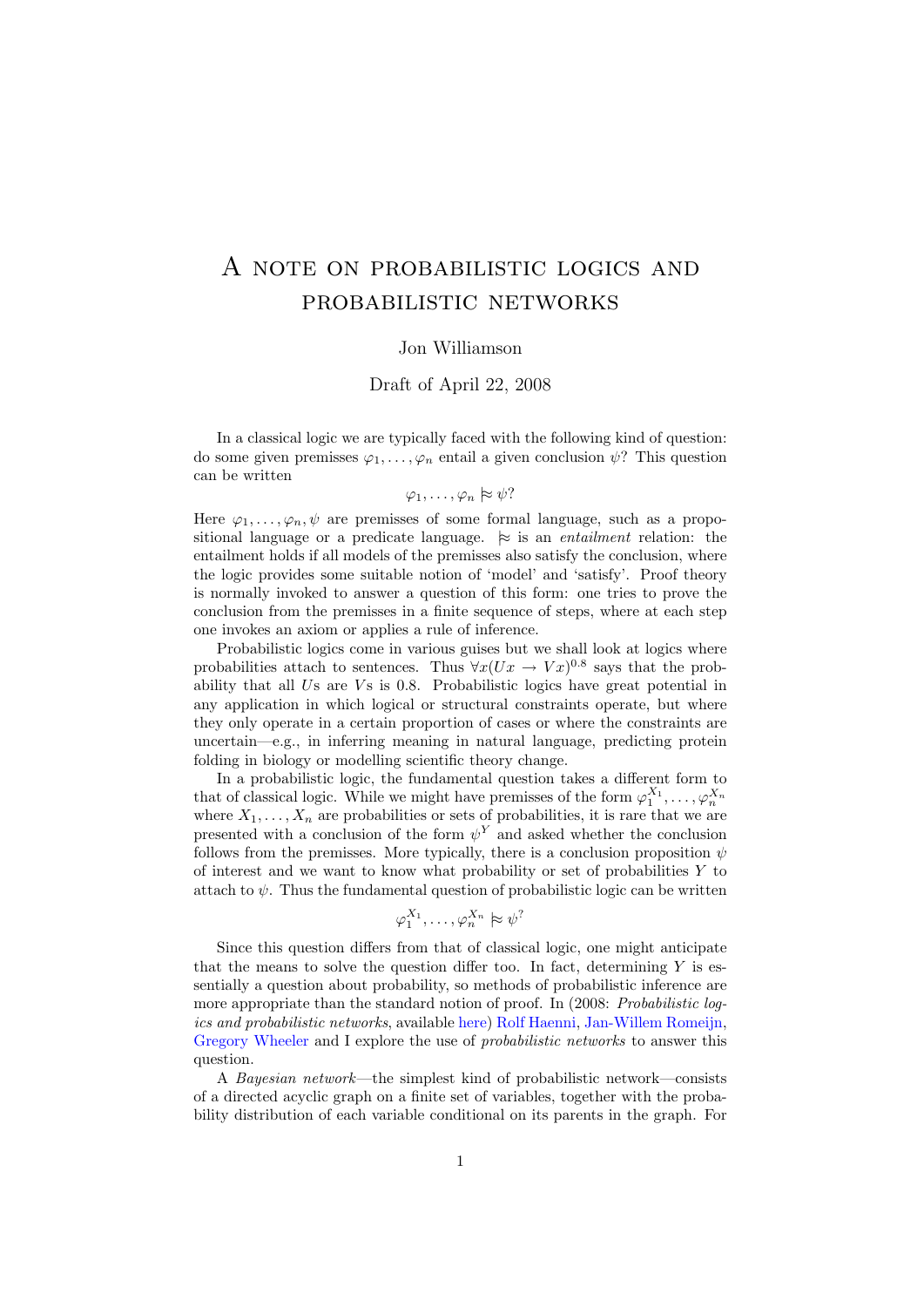## A note on probabilistic logics and probabilistic networks

## Jon Williamson

## Draft of April 22, 2008

In a classical logic we are typically faced with the following kind of question: do some given premisses  $\varphi_1, \ldots, \varphi_n$  entail a given conclusion  $\psi$ ? This question can be written

## $\varphi_1, \ldots, \varphi_n \approx \psi$ ?

Here  $\varphi_1, \ldots, \varphi_n, \psi$  are premisses of some formal language, such as a propositional language or a predicate language.  $\approx$  is an *entailment* relation: the entailment holds if all models of the premisses also satisfy the conclusion, where the logic provides some suitable notion of 'model' and 'satisfy'. Proof theory is normally invoked to answer a question of this form: one tries to prove the conclusion from the premisses in a finite sequence of steps, where at each step one invokes an axiom or applies a rule of inference.

Probabilistic logics come in various guises but we shall look at logics where probabilities attach to sentences. Thus  $\forall x (Ux \rightarrow Vx)^{0.8}$  says that the probability that all  $Us$  are  $Vs$  is 0.8. Probabilistic logics have great potential in any application in which logical or structural constraints operate, but where they only operate in a certain proportion of cases or where the constraints are uncertain—e.g., in inferring meaning in natural language, predicting protein folding in biology or modelling scientific theory change.

In a probabilistic logic, the fundamental question takes a different form to that of classical logic. While we might have premisses of the form  $\varphi_1^{X_1}, \ldots, \varphi_n^{X_n}$ <br>where  $X_1, \ldots, X_n$  are probabilities or sets of probabilities, it is rare that we are presented with a conclusion of the form  $\psi^{Y}$  and asked whether the conclusion follows from the premisses. More typically, there is a conclusion proposition  $\psi$ of interest and we want to know what probability or set of probabilities  $Y$  to attach to  $\psi$ . Thus the fundamental question of probabilistic logic can be written

$$
\varphi_1^{X_1}, \dots, \varphi_n^{X_n} \approx \psi^?
$$

Since this question differs from that of classical logic, one might anticipate that the means to solve the question differ too. In fact, determining  $Y$  is essentially a question about probability, so methods of probabilistic inference are more appropriate than the standard notion of proof. In (2008: Probabilistic logics and probabilistic networks, available [here\)](http://www.kent.ac.uk/secl/philosophy/jw/2006/progicnet/progicnet.pdf) [Rolf Haenni,](http://www.iam.unibe.ch/~run/staff.php?link=staff") [Jan-Willem Romeijn,](http://www.rug.nl/filosofie/faculteit/medewerkers/romeyn/index) [Gregory Wheeler](http://centria.di.fct.unl.pt/~greg/) and I explore the use of *probabilistic networks* to answer this question.

A Bayesian network—the simplest kind of probabilistic network—consists of a directed acyclic graph on a finite set of variables, together with the probability distribution of each variable conditional on its parents in the graph. For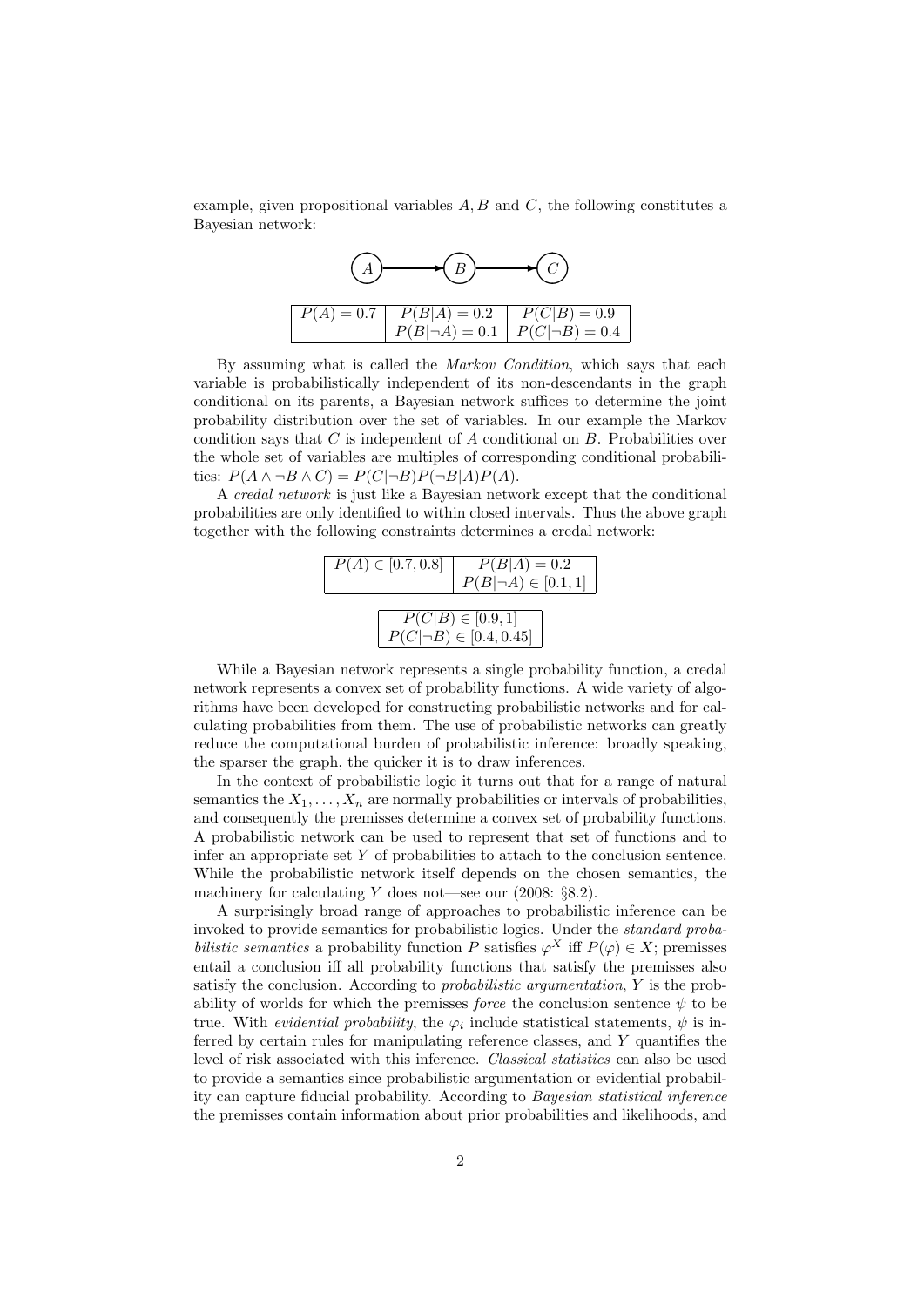example, given propositional variables  $A, B$  and  $C$ , the following constitutes a Bayesian network:



By assuming what is called the *Markov Condition*, which says that each variable is probabilistically independent of its non-descendants in the graph conditional on its parents, a Bayesian network suffices to determine the joint probability distribution over the set of variables. In our example the Markov condition says that  $C$  is independent of  $A$  conditional on  $B$ . Probabilities over the whole set of variables are multiples of corresponding conditional probabilities:  $P(A \wedge \neg B \wedge C) = P(C|\neg B)P(\neg B|A)P(A)$ .

A credal network is just like a Bayesian network except that the conditional probabilities are only identified to within closed intervals. Thus the above graph together with the following constraints determines a credal network:

|                                                                   | $P(A) \in [0.7, 0.8]$ $P(B A) = 0.2$<br>$P(B \neg A) \in [0.1, 1]$ |
|-------------------------------------------------------------------|--------------------------------------------------------------------|
| $\overline{P(C B) \in [0.9, 1]}$<br>$P(C \neg B) \in [0.4, 0.45]$ |                                                                    |

While a Bayesian network represents a single probability function, a credal network represents a convex set of probability functions. A wide variety of algorithms have been developed for constructing probabilistic networks and for calculating probabilities from them. The use of probabilistic networks can greatly reduce the computational burden of probabilistic inference: broadly speaking, the sparser the graph, the quicker it is to draw inferences.

In the context of probabilistic logic it turns out that for a range of natural semantics the  $X_1, \ldots, X_n$  are normally probabilities or intervals of probabilities, and consequently the premisses determine a convex set of probability functions. A probabilistic network can be used to represent that set of functions and to infer an appropriate set  $Y$  of probabilities to attach to the conclusion sentence. While the probabilistic network itself depends on the chosen semantics, the machinery for calculating Y does not—see our  $(2008: \S 8.2)$ .

A surprisingly broad range of approaches to probabilistic inference can be invoked to provide semantics for probabilistic logics. Under the standard probabilistic semantics a probability function P satisfies  $\varphi^X$  iff  $P(\varphi) \in X$ ; premisses entail a conclusion iff all probability functions that satisfy the premisses also satisfy the conclusion. According to probabilistic argumentation, Y is the probability of worlds for which the premisses *force* the conclusion sentence  $\psi$  to be true. With *evidential probability*, the  $\varphi_i$  include statistical statements,  $\psi$  is inferred by certain rules for manipulating reference classes, and Y quantifies the level of risk associated with this inference. Classical statistics can also be used to provide a semantics since probabilistic argumentation or evidential probability can capture fiducial probability. According to Bayesian statistical inference the premisses contain information about prior probabilities and likelihoods, and